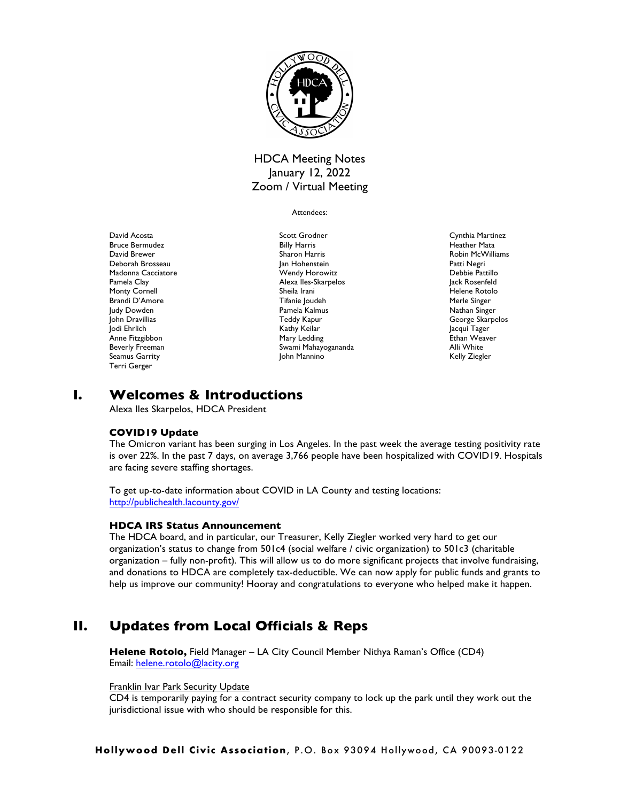

# HDCA Meeting Notes January 12, 2022 Zoom / Virtual Meeting

#### Attendees:

David Acosta Bruce Bermudez David Brewer Deborah Brosseau Madonna Cacciatore Pamela Clay Monty Cornell Brandi D'Amore Judy Dowden John Dravillias Jodi Ehrlich Anne Fitzgibbon Beverly Freeman Seamus Garrity Terri Gerger

Scott Grodner Billy Harris Sharon Harris Jan Hohenstein Wendy Horowitz Alexa Iles-Skarpelos Sheila Irani Tifanie Joudeh Pamela Kalmus Teddy Kapur Kathy Keilar Mary Ledding Swami Mahayogananda John Mannino

Cynthia Martinez Heather Mata Robin McWilliams Patti Negri Debbie Pattillo Jack Rosenfeld Helene Rotolo Merle Singer Nathan Singer George Skarpelos Jacqui Tager Ethan Weaver Alli White Kelly Ziegler

# **I. Welcomes & Introductions**

Alexa Iles Skarpelos, HDCA President

## **COVID19 Update**

The Omicron variant has been surging in Los Angeles. In the past week the average testing positivity rate is over 22%. In the past 7 days, on average 3,766 people have been hospitalized with COVID19. Hospitals are facing severe staffing shortages.

To get up-to-date information about COVID in LA County and testing locations: http://publichealth.lacounty.gov/

## **HDCA IRS Status Announcement**

The HDCA board, and in particular, our Treasurer, Kelly Ziegler worked very hard to get our organization's status to change from 501c4 (social welfare / civic organization) to 501c3 (charitable organization – fully non-profit). This will allow us to do more significant projects that involve fundraising, and donations to HDCA are completely tax-deductible. We can now apply for public funds and grants to help us improve our community! Hooray and congratulations to everyone who helped make it happen.

# **II. Updates from Local Officials & Reps**

**Helene Rotolo,** Field Manager – LA City Council Member Nithya Raman's Office (CD4) Email: helene.rotolo@lacity.org

### Franklin Ivar Park Security Update

CD4 is temporarily paying for a contract security company to lock up the park until they work out the jurisdictional issue with who should be responsible for this.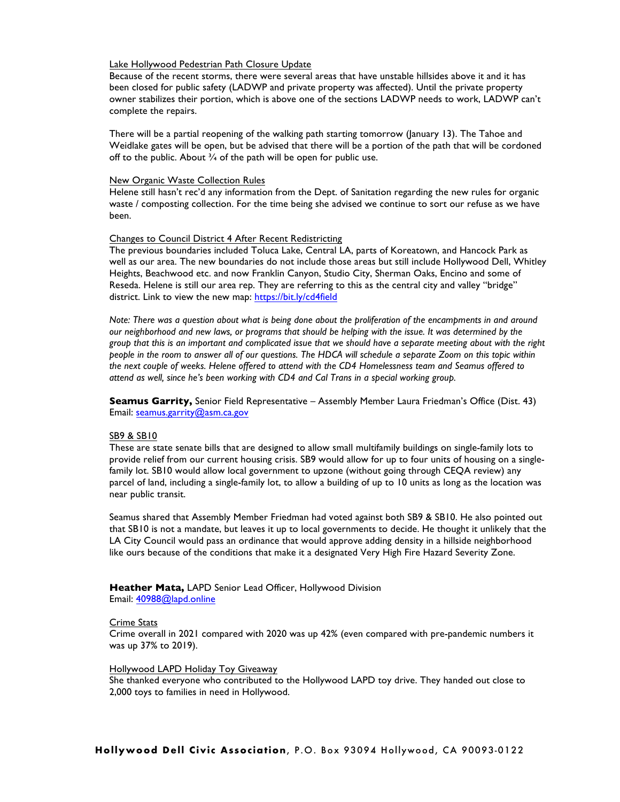### Lake Hollywood Pedestrian Path Closure Update

Because of the recent storms, there were several areas that have unstable hillsides above it and it has been closed for public safety (LADWP and private property was affected). Until the private property owner stabilizes their portion, which is above one of the sections LADWP needs to work, LADWP can't complete the repairs.

There will be a partial reopening of the walking path starting tomorrow (January 13). The Tahoe and Weidlake gates will be open, but be advised that there will be a portion of the path that will be cordoned off to the public. About  $\frac{3}{4}$  of the path will be open for public use.

#### New Organic Waste Collection Rules

Helene still hasn't rec'd any information from the Dept. of Sanitation regarding the new rules for organic waste / composting collection. For the time being she advised we continue to sort our refuse as we have been.

#### Changes to Council District 4 After Recent Redistricting

The previous boundaries included Toluca Lake, Central LA, parts of Koreatown, and Hancock Park as well as our area. The new boundaries do not include those areas but still include Hollywood Dell, Whitley Heights, Beachwood etc. and now Franklin Canyon, Studio City, Sherman Oaks, Encino and some of Reseda. Helene is still our area rep. They are referring to this as the central city and valley "bridge" district. Link to view the new map: https://bit.ly/cd4field

*Note: There was a question about what is being done about the proliferation of the encampments in and around our neighborhood and new laws, or programs that should be helping with the issue. It was determined by the group that this is an important and complicated issue that we should have a separate meeting about with the right people in the room to answer all of our questions. The HDCA will schedule a separate Zoom on this topic within the next couple of weeks. Helene offered to attend with the CD4 Homelessness team and Seamus offered to attend as well, since he's been working with CD4 and Cal Trans in a special working group.*

**Seamus Garrity,** Senior Field Representative – Assembly Member Laura Friedman's Office (Dist. 43) Email: seamus.garrity@asm.ca.gov

### SB9 & SB10

These are state senate bills that are designed to allow small multifamily buildings on single-family lots to provide relief from our current housing crisis. SB9 would allow for up to four units of housing on a singlefamily lot. SB10 would allow local government to upzone (without going through CEQA review) any parcel of land, including a single-family lot, to allow a building of up to 10 units as long as the location was near public transit.

Seamus shared that Assembly Member Friedman had voted against both SB9 & SB10. He also pointed out that SB10 is not a mandate, but leaves it up to local governments to decide. He thought it unlikely that the LA City Council would pass an ordinance that would approve adding density in a hillside neighborhood like ours because of the conditions that make it a designated Very High Fire Hazard Severity Zone.

### **Heather Mata,** LAPD Senior Lead Officer, Hollywood Division Email: 40988@lapd.online

#### Crime Stats

Crime overall in 2021 compared with 2020 was up 42% (even compared with pre-pandemic numbers it was up 37% to 2019).

#### Hollywood LAPD Holiday Toy Giveaway

She thanked everyone who contributed to the Hollywood LAPD toy drive. They handed out close to 2,000 toys to families in need in Hollywood.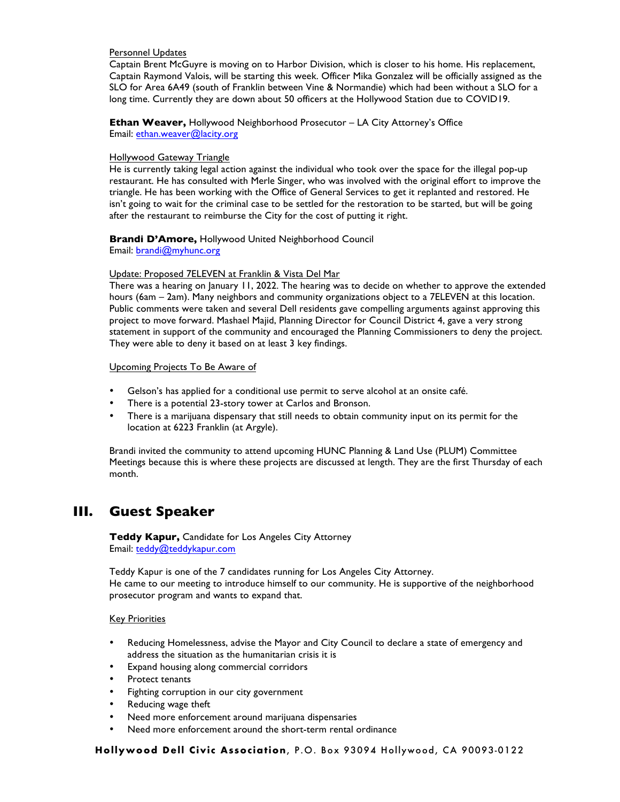## Personnel Updates

Captain Brent McGuyre is moving on to Harbor Division, which is closer to his home. His replacement, Captain Raymond Valois, will be starting this week. Officer Mika Gonzalez will be officially assigned as the SLO for Area 6A49 (south of Franklin between Vine & Normandie) which had been without a SLO for a long time. Currently they are down about 50 officers at the Hollywood Station due to COVID19.

**Ethan Weaver,** Hollywood Neighborhood Prosecutor – LA City Attorney's Office Email: ethan.weaver@lacity.org

### Hollywood Gateway Triangle

He is currently taking legal action against the individual who took over the space for the illegal pop-up restaurant. He has consulted with Merle Singer, who was involved with the original effort to improve the triangle. He has been working with the Office of General Services to get it replanted and restored. He isn't going to wait for the criminal case to be settled for the restoration to be started, but will be going after the restaurant to reimburse the City for the cost of putting it right.

## **Brandi D'Amore,** Hollywood United Neighborhood Council

Email: brandi@myhunc.org

### Update: Proposed 7ELEVEN at Franklin & Vista Del Mar

There was a hearing on January 11, 2022. The hearing was to decide on whether to approve the extended hours (6am – 2am). Many neighbors and community organizations object to a 7ELEVEN at this location. Public comments were taken and several Dell residents gave compelling arguments against approving this project to move forward. Mashael Majid, Planning Director for Council District 4, gave a very strong statement in support of the community and encouraged the Planning Commissioners to deny the project. They were able to deny it based on at least 3 key findings.

## Upcoming Projects To Be Aware of

- Gelson's has applied for a conditional use permit to serve alcohol at an onsite café.
- There is a potential 23-story tower at Carlos and Bronson.
- There is a marijuana dispensary that still needs to obtain community input on its permit for the location at 6223 Franklin (at Argyle).

Brandi invited the community to attend upcoming HUNC Planning & Land Use (PLUM) Committee Meetings because this is where these projects are discussed at length. They are the first Thursday of each month.

# **III. Guest Speaker**

**Teddy Kapur,** Candidate for Los Angeles City Attorney Email: teddy@teddykapur.com

Teddy Kapur is one of the 7 candidates running for Los Angeles City Attorney. He came to our meeting to introduce himself to our community. He is supportive of the neighborhood prosecutor program and wants to expand that.

### Key Priorities

- Reducing Homelessness, advise the Mayor and City Council to declare a state of emergency and address the situation as the humanitarian crisis it is
- Expand housing along commercial corridors
- Protect tenants
- Fighting corruption in our city government
- Reducing wage theft
- Need more enforcement around marijuana dispensaries
- Need more enforcement around the short-term rental ordinance

**Hollywood Dell Civic Association**, P.O. Box 93094 Hollywood, CA 90093-0122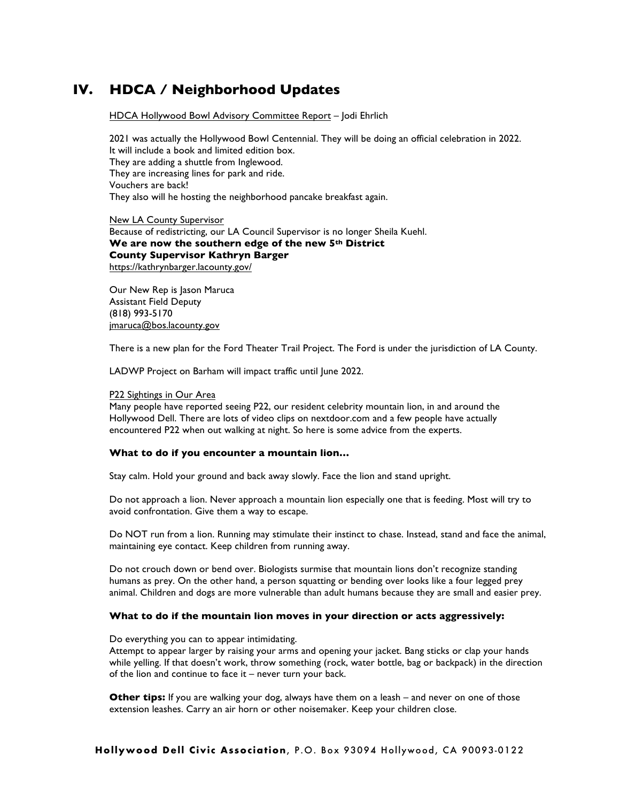# **IV. HDCA / Neighborhood Updates**

HDCA Hollywood Bowl Advisory Committee Report – Jodi Ehrlich

2021 was actually the Hollywood Bowl Centennial. They will be doing an official celebration in 2022. It will include a book and limited edition box. They are adding a shuttle from Inglewood. They are increasing lines for park and ride. Vouchers are back! They also will he hosting the neighborhood pancake breakfast again.

New LA County Supervisor Because of redistricting, our LA Council Supervisor is no longer Sheila Kuehl. **We are now the southern edge of the new 5th District County Supervisor Kathryn Barger** https://kathrynbarger.lacounty.gov/

Our New Rep is Jason Maruca Assistant Field Deputy (818) 993-5170 jmaruca@bos.lacounty.gov

There is a new plan for the Ford Theater Trail Project. The Ford is under the jurisdiction of LA County.

LADWP Project on Barham will impact traffic until June 2022.

#### P22 Sightings in Our Area

Many people have reported seeing P22, our resident celebrity mountain lion, in and around the Hollywood Dell. There are lots of video clips on nextdoor.com and a few people have actually encountered P22 when out walking at night. So here is some advice from the experts.

#### **What to do if you encounter a mountain lion…**

Stay calm. Hold your ground and back away slowly. Face the lion and stand upright.

Do not approach a lion. Never approach a mountain lion especially one that is feeding. Most will try to avoid confrontation. Give them a way to escape.

Do NOT run from a lion. Running may stimulate their instinct to chase. Instead, stand and face the animal, maintaining eye contact. Keep children from running away.

Do not crouch down or bend over. Biologists surmise that mountain lions don't recognize standing humans as prey. On the other hand, a person squatting or bending over looks like a four legged prey animal. Children and dogs are more vulnerable than adult humans because they are small and easier prey.

#### **What to do if the mountain lion moves in your direction or acts aggressively:**

Do everything you can to appear intimidating.

Attempt to appear larger by raising your arms and opening your jacket. Bang sticks or clap your hands while yelling. If that doesn't work, throw something (rock, water bottle, bag or backpack) in the direction of the lion and continue to face it – never turn your back.

**Other tips:** If you are walking your dog, always have them on a leash – and never on one of those extension leashes. Carry an air horn or other noisemaker. Keep your children close.